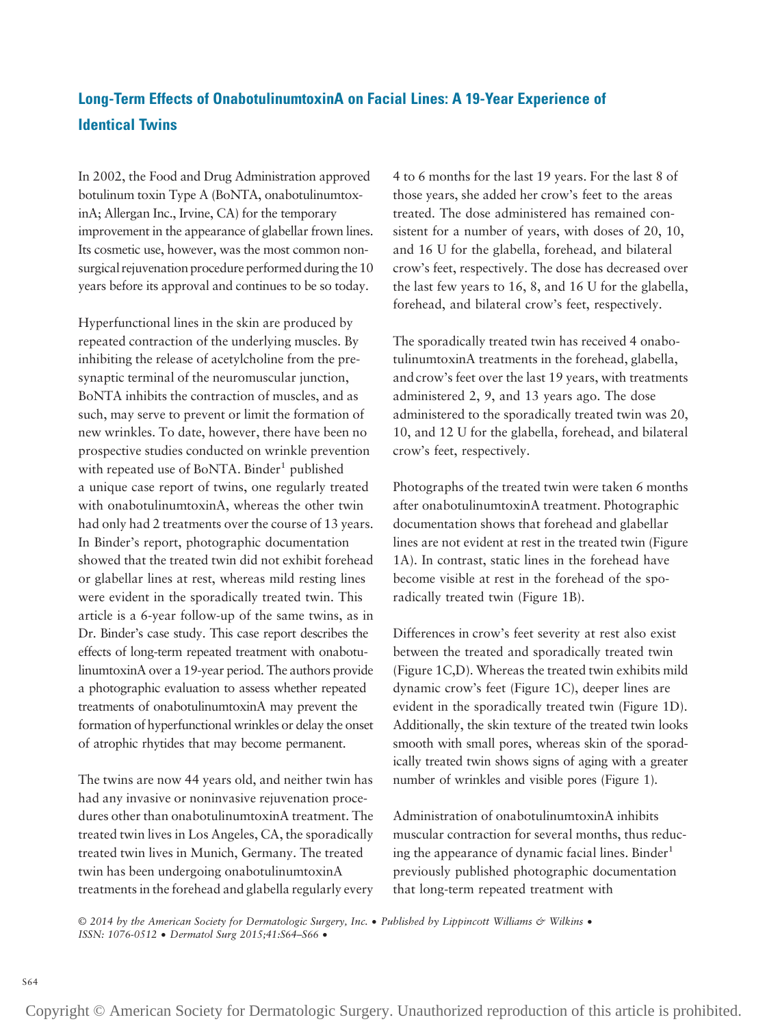## Long-Term Effects of OnabotulinumtoxinA on Facial Lines: A 19-Year Experience of Identical Twins

In 2002, the Food and Drug Administration approved botulinum toxin Type A (BoNTA, onabotulinumtoxinA; Allergan Inc., Irvine, CA) for the temporary improvement in the appearance of glabellar frown lines. Its cosmetic use, however, was the most common nonsurgical rejuvenation procedure performed during the 10 years before its approval and continues to be so today.

Hyperfunctional lines in the skin are produced by repeated contraction of the underlying muscles. By inhibiting the release of acetylcholine from the presynaptic terminal of the neuromuscular junction, BoNTA inhibits the contraction of muscles, and as such, may serve to prevent or limit the formation of new wrinkles. To date, however, there have been no prospective studies conducted on wrinkle prevention with repeated use of BoNTA. Binder<sup>1</sup> published a unique case report of twins, one regularly treated with onabotulinumtoxinA, whereas the other twin had only had 2 treatments over the course of 13 years. In Binder's report, photographic documentation showed that the treated twin did not exhibit forehead or glabellar lines at rest, whereas mild resting lines were evident in the sporadically treated twin. This article is a 6-year follow-up of the same twins, as in Dr. Binder's case study. This case report describes the effects of long-term repeated treatment with onabotulinumtoxinA over a 19-year period. The authors provide a photographic evaluation to assess whether repeated treatments of onabotulinumtoxinA may prevent the formation of hyperfunctional wrinkles or delay the onset of atrophic rhytides that may become permanent.

The twins are now 44 years old, and neither twin has had any invasive or noninvasive rejuvenation procedures other than onabotulinumtoxinA treatment. The treated twin lives in Los Angeles, CA, the sporadically treated twin lives in Munich, Germany. The treated twin has been undergoing onabotulinumtoxinA treatments in the forehead and glabella regularly every 4 to 6 months for the last 19 years. For the last 8 of those years, she added her crow's feet to the areas treated. The dose administered has remained consistent for a number of years, with doses of 20, 10, and 16 U for the glabella, forehead, and bilateral crow's feet, respectively. The dose has decreased over the last few years to 16, 8, and 16 U for the glabella, forehead, and bilateral crow's feet, respectively.

The sporadically treated twin has received 4 onabotulinumtoxinA treatments in the forehead, glabella, and crow's feet over the last 19 years, with treatments administered 2, 9, and 13 years ago. The dose administered to the sporadically treated twin was 20, 10, and 12 U for the glabella, forehead, and bilateral crow's feet, respectively.

Photographs of the treated twin were taken 6 months after onabotulinumtoxinA treatment. Photographic documentation shows that forehead and glabellar lines are not evident at rest in the treated twin (Figure 1A). In contrast, static lines in the forehead have become visible at rest in the forehead of the sporadically treated twin (Figure 1B).

Differences in crow's feet severity at rest also exist between the treated and sporadically treated twin (Figure 1C,D). Whereas the treated twin exhibits mild dynamic crow's feet (Figure 1C), deeper lines are evident in the sporadically treated twin (Figure 1D). Additionally, the skin texture of the treated twin looks smooth with small pores, whereas skin of the sporadically treated twin shows signs of aging with a greater number of wrinkles and visible pores (Figure 1).

Administration of onabotulinumtoxinA inhibits muscular contraction for several months, thus reducing the appearance of dynamic facial lines. Binder $1$ previously published photographic documentation that long-term repeated treatment with

© 2014 by the American Society for Dermatologic Surgery, Inc. • Published by Lippincott Williams & Wilkins •<br>ISSN: 1076-0512 • Dermatol Surg 2015;41:S64–S66 •

Copyright © American Society for Dermatologic Surgery. Unauthorized reproduction of this article is prohibited.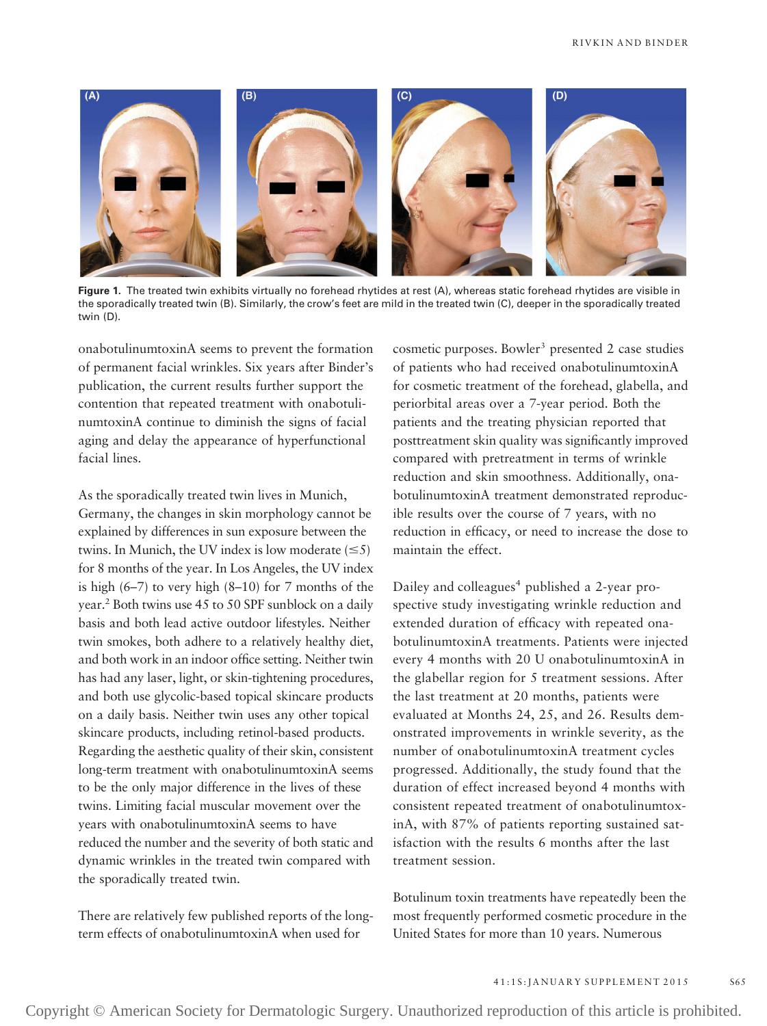

Figure 1. The treated twin exhibits virtually no forehead rhytides at rest (A), whereas static forehead rhytides are visible in the sporadically treated twin (B). Similarly, the crow's feet are mild in the treated twin (C), deeper in the sporadically treated twin (D).

onabotulinumtoxinA seems to prevent the formation of permanent facial wrinkles. Six years after Binder's publication, the current results further support the contention that repeated treatment with onabotulinumtoxinA continue to diminish the signs of facial aging and delay the appearance of hyperfunctional facial lines.

As the sporadically treated twin lives in Munich, Germany, the changes in skin morphology cannot be explained by differences in sun exposure between the twins. In Munich, the UV index is low moderate  $(\leq 5)$ for 8 months of the year. In Los Angeles, the UV index is high  $(6-7)$  to very high  $(8-10)$  for 7 months of the year.<sup>2</sup> Both twins use 45 to 50 SPF sunblock on a daily basis and both lead active outdoor lifestyles. Neither twin smokes, both adhere to a relatively healthy diet, and both work in an indoor office setting. Neither twin has had any laser, light, or skin-tightening procedures, and both use glycolic-based topical skincare products on a daily basis. Neither twin uses any other topical skincare products, including retinol-based products. Regarding the aesthetic quality of their skin, consistent long-term treatment with onabotulinumtoxinA seems to be the only major difference in the lives of these twins. Limiting facial muscular movement over the years with onabotulinumtoxinA seems to have reduced the number and the severity of both static and dynamic wrinkles in the treated twin compared with the sporadically treated twin.

There are relatively few published reports of the longterm effects of onabotulinumtoxinA when used for

cosmetic purposes. Bowler<sup>3</sup> presented 2 case studies of patients who had received onabotulinumtoxinA for cosmetic treatment of the forehead, glabella, and periorbital areas over a 7-year period. Both the patients and the treating physician reported that posttreatment skin quality was significantly improved compared with pretreatment in terms of wrinkle reduction and skin smoothness. Additionally, onabotulinumtoxinA treatment demonstrated reproducible results over the course of 7 years, with no reduction in efficacy, or need to increase the dose to maintain the effect.

Dailey and colleagues<sup>4</sup> published a 2-year prospective study investigating wrinkle reduction and extended duration of efficacy with repeated onabotulinumtoxinA treatments. Patients were injected every 4 months with 20 U onabotulinumtoxinA in the glabellar region for 5 treatment sessions. After the last treatment at 20 months, patients were evaluated at Months 24, 25, and 26. Results demonstrated improvements in wrinkle severity, as the number of onabotulinumtoxinA treatment cycles progressed. Additionally, the study found that the duration of effect increased beyond 4 months with consistent repeated treatment of onabotulinumtoxinA, with 87% of patients reporting sustained satisfaction with the results 6 months after the last treatment session.

Botulinum toxin treatments have repeatedly been the most frequently performed cosmetic procedure in the United States for more than 10 years. Numerous